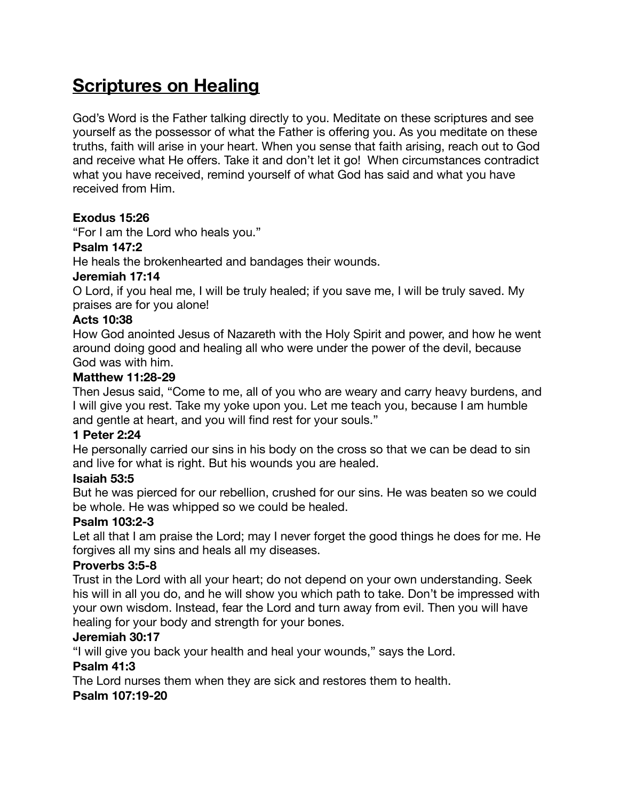# **Scriptures on Healing**

God's Word is the Father talking directly to you. Meditate on these scriptures and see yourself as the possessor of what the Father is offering you. As you meditate on these truths, faith will arise in your heart. When you sense that faith arising, reach out to God and receive what He offers. Take it and don't let it go! When circumstances contradict what you have received, remind yourself of what God has said and what you have received from Him.

# **Exodus 15:26**

"For I am the Lord who heals you."

## **Psalm 147:2**

He heals the brokenhearted and bandages their wounds.

## **Jeremiah 17:14**

O Lord, if you heal me, I will be truly healed; if you save me, I will be truly saved. My praises are for you alone!

# **Acts 10:38**

How God anointed Jesus of Nazareth with the Holy Spirit and power, and how he went around doing good and healing all who were under the power of the devil, because God was with him.

## **Matthew 11:28-29**

Then Jesus said, "Come to me, all of you who are weary and carry heavy burdens, and I will give you rest. Take my yoke upon you. Let me teach you, because I am humble and gentle at heart, and you will find rest for your souls."

## **1 Peter 2:24**

He personally carried our sins in his body on the cross so that we can be dead to sin and live for what is right. But his wounds you are healed.

# **Isaiah 53:5**

But he was pierced for our rebellion, crushed for our sins. He was beaten so we could be whole. He was whipped so we could be healed.

# **Psalm 103:2-3**

Let all that I am praise the Lord; may I never forget the good things he does for me. He forgives all my sins and heals all my diseases.

# **Proverbs 3:5-8**

Trust in the Lord with all your heart; do not depend on your own understanding. Seek his will in all you do, and he will show you which path to take. Don't be impressed with your own wisdom. Instead, fear the Lord and turn away from evil. Then you will have healing for your body and strength for your bones.

#### **Jeremiah 30:17**

"I will give you back your health and heal your wounds," says the Lord.

# **Psalm 41:3**

The Lord nurses them when they are sick and restores them to health.

# **Psalm 107:19-20**